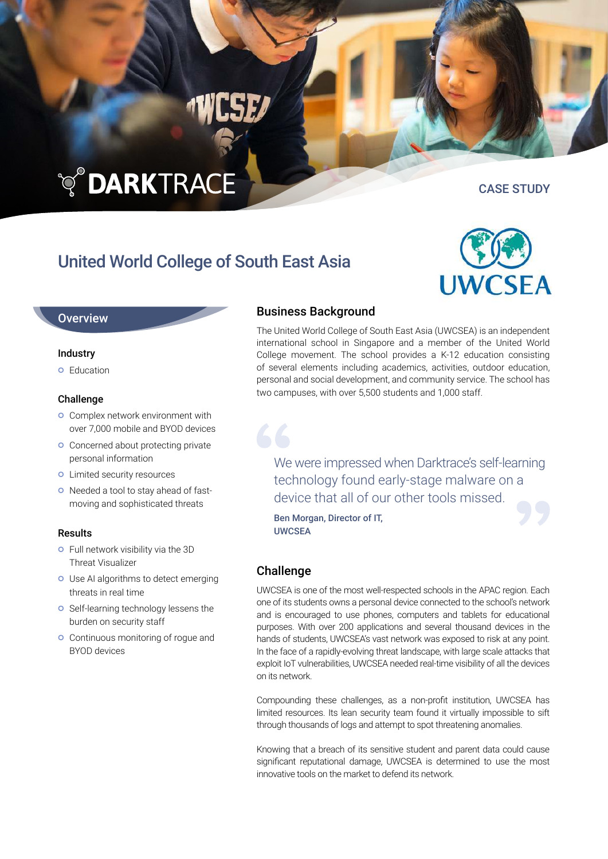# **TO DARKTRACE**

## United World College of South East Asia

#### **Overview**

#### Industry

**o** Education

#### Challenge

- **o** Complex network environment with over 7,000 mobile and BYOD devices
- **O** Concerned about protecting private personal information
- **o** Limited security resources
- o Needed a tool to stay ahead of fastmoving and sophisticated threats

#### Results

- **o** Full network visibility via the 3D Threat Visualizer
- **O** Use AI algorithms to detect emerging threats in real time
- **o** Self-learning technology lessens the burden on security staff
- **o** Continuous monitoring of rogue and BYOD devices

#### Business Background

The United World College of South East Asia (UWCSEA) is an independent international school in Singapore and a member of the United World College movement. The school provides a K-12 education consisting of several elements including academics, activities, outdoor education, personal and social development, and community service. The school has two campuses, with over 5,500 students and 1,000 staff.

We were impressed when Darktrace's self-learning technology found early-stage malware on a device that all of our other tools missed.

Ben Morgan, Director of IT, UWCSEA

#### Challenge

UWCSEA is one of the most well-respected schools in the APAC region. Each one of its students owns a personal device connected to the school's network and is encouraged to use phones, computers and tablets for educational purposes. With over 200 applications and several thousand devices in the hands of students, UWCSEA's vast network was exposed to risk at any point. In the face of a rapidly-evolving threat landscape, with large scale attacks that exploit IoT vulnerabilities, UWCSEA needed real-time visibility of all the devices on its network.

Compounding these challenges, as a non-profit institution, UWCSEA has limited resources. Its lean security team found it virtually impossible to sift through thousands of logs and attempt to spot threatening anomalies.

Knowing that a breach of its sensitive student and parent data could cause significant reputational damage, UWCSEA is determined to use the most innovative tools on the market to defend its network.



CASE STUDY